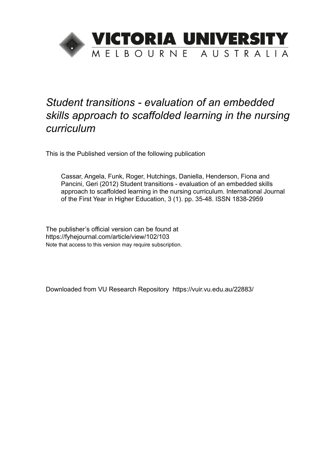

This is the Published version of the following publication

Cassar, Angela, Funk, Roger, Hutchings, Daniella, Henderson, Fiona and Pancini, Geri (2012) Student transitions - evaluation of an embedded skills approach to scaffolded learning in the nursing curriculum. International Journal of the First Year in Higher Education, 3 (1). pp. 35-48. ISSN 1838-2959

The publisher's official version can be found at https://fyhejournal.com/article/view/102/103 Note that access to this version may require subscription.

Downloaded from VU Research Repository https://vuir.vu.edu.au/22883/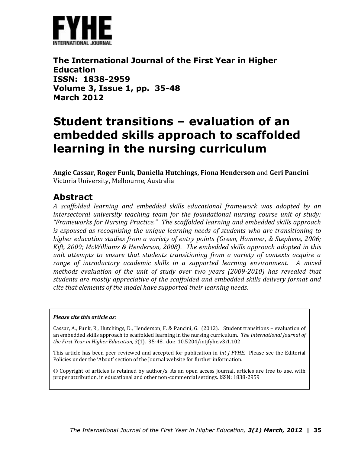

**The International Journal of the First Year in Higher Education ISSN: 1838-2959 Volume 3, Issue 1, pp. 35-48 March 2012**

# **Student transitions – evaluation of an embedded skills approach to scaffolded learning in the nursing curriculum**

**Angie Cassar, Roger Funk, Daniella Hutchings, Fiona Henderson** and **Geri Pancini**  Victoria University, Melbourne, Australia

## **Abstract**

*A scaffolded learning and embedded skills educational framework was adopted by an intersectoral university teaching team for the foundational nursing course unit of study: "Frameworks for Nursing Practice." The scaffolded learning and embedded skills approach is espoused as recognising the unique learning needs of students who are transitioning to higher education studies from a variety of entry points (Green, Hammer, & Stephens, 2006; Kift, 2009; McWilliams & Henderson, 2008). The embedded skills approach adopted in this unit attempts to ensure that students transitioning from a variety of contexts acquire a range of introductory academic skills in a supported learning environment. A mixed methods evaluation of the unit of study over two years (2009-2010) has revealed that students are mostly appreciative of the scaffolded and embedded skills delivery format and cite that elements of the model have supported their learning needs.* 

### *Please cite this article as:*

Cassar, A., Funk, R., Hutchings, D., Henderson, F. & Pancini, G. (2012). Student transitions – evaluation of an embedded skills approach to scaffolded learning in the nursing curriculum. *The International Journal of the First Year in Higher Education, 3*(1). 35-48. doi: 10.5204/intjfyhe.v3i1.102

This article has been peer reviewed and accepted for publication in *Int J FYHE.* Please see the Editorial Policies under the 'About' section of the Journal website for further information.

© Copyright of articles is retained by author/s. As an open access journal, articles are free to use, with proper attribution, in educational and other non-commercial settings. ISSN: 1838-2959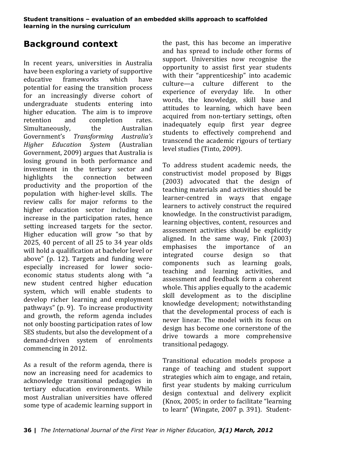# **Background context**

In recent years, universities in Australia have been exploring a variety of supportive educative frameworks which have potential for easing the transition process for an increasingly diverse cohort of undergraduate students entering into higher education. The aim is to improve retention and completion rates. Simultaneously, the Australian Government's *Transforming Australia's Higher Education System* (Australian Government, 2009) argues that Australia is losing ground in both performance and investment in the tertiary sector and highlights the connection between productivity and the proportion of the population with higher-level skills. The review calls for major reforms to the higher education sector including an increase in the participation rates, hence setting increased targets for the sector. Higher education will grow "so that by 2025, 40 percent of all 25 to 34 year olds will hold a qualification at bachelor level or above" (p. 12). Targets and funding were especially increased for lower socioeconomic status students along with "a new student centred higher education system, which will enable students to develop richer learning and employment pathways" (p. 9). To increase productivity and growth, the reform agenda includes not only boosting participation rates of low SES students, but also the development of a demand-driven system of enrolments commencing in 2012.

As a result of the reform agenda, there is now an increasing need for academics to acknowledge transitional pedagogies in tertiary education environments. While most Australian universities have offered some type of academic learning support in

the past, this has become an imperative and has spread to include other forms of support. Universities now recognise the opportunity to assist first year students with their "apprenticeship" into academic culture—a culture different to the experience of everyday life. In other words, the knowledge, skill base and attitudes to learning, which have been acquired from non-tertiary settings, often inadequately equip first year degree students to effectively comprehend and transcend the academic rigours of tertiary level studies (Tinto, 2009).

To address student academic needs, the constructivist model proposed by Biggs (2003) advocated that the design of teaching materials and activities should be learner-centred in ways that engage learners to actively construct the required knowledge. In the constructivist paradigm, learning objectives, content, resources and assessment activities should be explicitly aligned. In the same way, Fink (2003) emphasises the importance of an integrated course design so that components such as learning goals, teaching and learning activities, and assessment and feedback form a coherent whole. This applies equally to the academic skill development as to the discipline knowledge development; notwithstanding that the developmental process of each is never linear. The model with its focus on design has become one cornerstone of the drive towards a more comprehensive transitional pedagogy.

Transitional education models propose a range of teaching and student support strategies which aim to engage, and retain, first year students by making curriculum design contextual and delivery explicit (Knox, 2005; in order to facilitate "learning to learn" (Wingate, 2007 p. 391). Student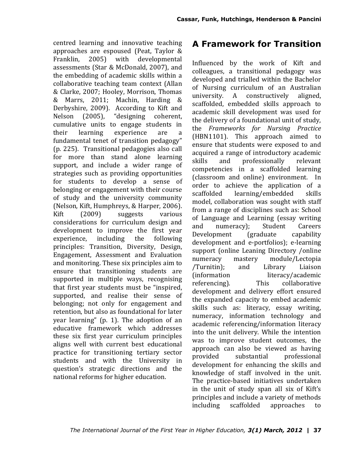centred learning and innovative teaching approaches are espoused (Peat, Taylor & Franklin, 2005) with developmental assessments (Star & McDonald, 2007), and the embedding of academic skills within a collaborative teaching team context (Allan & Clarke, 2007; Hooley, Morrison, Thomas & Marrs, 2011; Machin, Harding & Derbyshire, 2009). According to Kift and Nelson (2005), "designing coherent, cumulative units to engage students in their learning experience are a fundamental tenet of transition pedagogy" (p. 225). Transitional pedagogies also call for more than stand alone learning support, and include a wider range of strategies such as providing opportunities for students to develop a sense of belonging or engagement with their course of study and the university community (Nelson, Kift, Humphreys, & Harper, 2006). Kift (2009) suggests various considerations for curriculum design and development to improve the first year experience, including the following principles: Transition, Diversity, Design, Engagement, Assessment and Evaluation and monitoring. These six principles aim to ensure that transitioning students are supported in multiple ways, recognising that first year students must be "inspired, supported, and realise their sense of belonging; not only for engagement and retention, but also as foundational for later year learning" (p. 1). The adoption of an educative framework which addresses these six first year curriculum principles aligns well with current best educational practice for transitioning tertiary sector students and with the University in question's strategic directions and the national reforms for higher education.

## **A Framework for Transition**

Influenced by the work of Kift and colleagues, a transitional pedagogy was developed and trialled within the Bachelor of Nursing curriculum of an Australian university. A constructively aligned, scaffolded, embedded skills approach to academic skill development was used for the delivery of a foundational unit of study, the *Frameworks for Nursing Practice*  (HBN1101). This approach aimed to ensure that students were exposed to and acquired a range of introductory academic skills and professionally relevant competencies in a scaffolded learning (classroom and online) environment. In order to achieve the application of a scaffolded learning/embedded skills model, collaboration was sought with staff from a range of disciplines such as: School of Language and Learning (essay writing and numeracy); Student Careers Development (graduate capability development and e-portfolios); e-learning support (online Leaning Directory /online numeracy mastery module/Lectopia /Turnitin); and Library Liaison (information literacy/academic referencing). This collaborative development and delivery effort ensured the expanded capacity to embed academic skills such as: literacy, essay writing, numeracy, information technology and academic referencing/information literacy into the unit delivery. While the intention was to improve student outcomes, the approach can also be viewed as having provided substantial professional development for enhancing the skills and knowledge of staff involved in the unit. The practice-based initiatives undertaken in the unit of study span all six of Kift's principles and include a variety of methods including scaffolded approaches to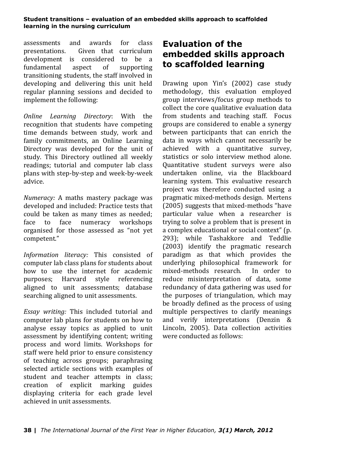assessments and awards for class presentations. Given that curriculum development is considered to be a fundamental aspect of supporting transitioning students, the staff involved in developing and delivering this unit held regular planning sessions and decided to implement the following:

*Online Learning Directory*: With the recognition that students have competing time demands between study, work and family commitments, an Online Learning Directory was developed for the unit of study. This Directory outlined all weekly readings; tutorial and computer lab class plans with step-by-step and week-by-week advice.

*Numeracy:* A maths mastery package was developed and included: Practice tests that could be taken as many times as needed; face to face numeracy workshops organised for those assessed as "not yet competent."

*Information literacy:* This consisted of computer lab class plans for students about how to use the internet for academic purposes; Harvard style referencing aligned to unit assessments; database searching aligned to unit assessments.

*Essay writing:* This included tutorial and computer lab plans for students on how to analyse essay topics as applied to unit assessment by identifying content; writing process and word limits. Workshops for staff were held prior to ensure consistency of teaching across groups; paraphrasing selected article sections with examples of student and teacher attempts in class; creation of explicit marking guides displaying criteria for each grade level achieved in unit assessments.

# **Evaluation of the embedded skills approach to scaffolded learning**

Drawing upon Yin's (2002) case study methodology, this evaluation employed group interviews/focus group methods to collect the core qualitative evaluation data from students and teaching staff. Focus groups are considered to enable a synergy between participants that can enrich the data in ways which cannot necessarily be achieved with a quantitative survey, statistics or solo interview method alone. Quantitative student surveys were also undertaken online, via the Blackboard learning system. This evaluative research project was therefore conducted using a pragmatic mixed-methods design. Mertens (2005) suggests that mixed-methods "have particular value when a researcher is trying to solve a problem that is present in a complex educational or social context" (p. 293); while Tashakkore and Teddlie (2003) identify the pragmatic research paradigm as that which provides the underlying philosophical framework for mixed-methods research. In order to reduce misinterpretation of data, some redundancy of data gathering was used for the purposes of triangulation, which may be broadly defined as the process of using multiple perspectives to clarify meanings and verify interpretations (Denzin & Lincoln, 2005). Data collection activities were conducted as follows: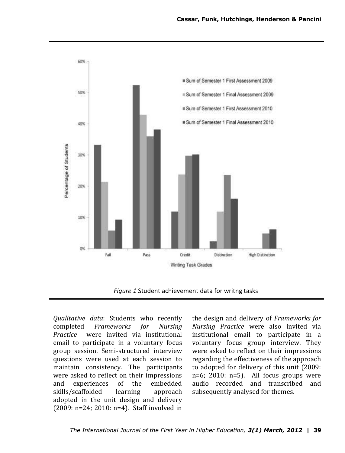

*Figure 1* Student achievement data for writng tasks

*Qualitative data*: Students who recently completed *Frameworks for Nursing Practice* were invited via institutional email to participate in a voluntary focus group session. Semi-structured interview questions were used at each session to maintain consistency. The participants were asked to reflect on their impressions and experiences of the embedded skills/scaffolded learning approach adopted in the unit design and delivery (2009: n=24; 2010: n=4). Staff involved in

the design and delivery of *Frameworks for Nursing Practice* were also invited via institutional email to participate in a voluntary focus group interview. They were asked to reflect on their impressions regarding the effectiveness of the approach to adopted for delivery of this unit (2009:  $n=6$ ; 2010:  $n=5$ ). All focus groups were audio recorded and transcribed and subsequently analysed for themes.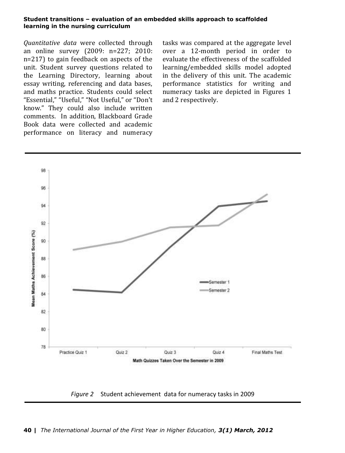*Quantitative data* were collected through an online survey (2009: n=227; 2010: n=217) to gain feedback on aspects of the unit. Student survey questions related to the Learning Directory, learning about essay writing, referencing and data bases, and maths practice. Students could select "Essential," "Useful," "Not Useful," or "Don't know." They could also include written comments. In addition, Blackboard Grade Book data were collected and academic performance on literacy and numeracy

tasks was compared at the aggregate level over a 12-month period in order to evaluate the effectiveness of the scaffolded learning/embedded skills model adopted in the delivery of this unit. The academic performance statistics for writing and numeracy tasks are depicted in Figures 1 and 2 respectively.



*Figure 2* Student achievement data for numeracy tasks in 2009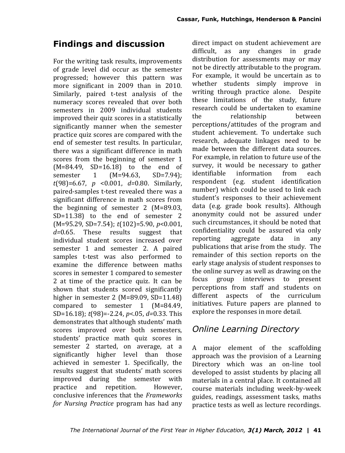# **Findings and discussion**

For the writing task results, improvements of grade level did occur as the semester progressed; however this pattern was more significant in 2009 than in 2010. Similarly, paired t-test analysis of the numeracy scores revealed that over both semesters in 2009 individual students improved their quiz scores in a statistically significantly manner when the semester practice quiz scores are compared with the end of semester test results. In particular, there was a significant difference in math scores from the beginning of semester 1 (M=84.49, SD=16.18) to the end of semester 1 (M=94.63, SD=7.94); *t*(98)=6.67, *p* <0.001, *d=*0.80. Similarly, paired-samples t-test revealed there was a significant difference in math scores from the beginning of semester 2 (M=89.03, SD=11.38) to the end of semester 2 (M=95.29, SD=7.54); *t*(102)=5.90, *p*<0.001, *d=*0.65. These results suggest that individual student scores increased over semester 1 and semester 2. A paired samples t-test was also performed to examine the difference between maths scores in semester 1 compared to semester 2 at time of the practice quiz. It can be shown that students scored significantly higher in semester 2 (M=89.09, SD=11.48) compared to semester 1 (M=84.49, SD=16.18); *t*(98)=-2.24, *p*<.05, *d=*0.33. This demonstrates that although students' math scores improved over both semesters, students' practice math quiz scores in semester 2 started, on average, at a significantly higher level than those achieved in semester 1. Specifically, the results suggest that students' math scores improved during the semester with practice and repetition. However, conclusive inferences that the *Frameworks for Nursing Practice* program has had any

direct impact on student achievement are difficult, as any changes in grade distribution for assessments may or may not be directly attributable to the program. For example, it would be uncertain as to whether students simply improve in writing through practice alone. Despite these limitations of the study, future research could be undertaken to examine the relationship between perceptions/attitudes of the program and student achievement. To undertake such research, adequate linkages need to be made between the different data sources. For example, in relation to future use of the survey, it would be necessary to gather identifiable information from each respondent (e.g. student identification number) which could be used to link each student's responses to their achievement data (e.g. grade book results). Although anonymity could not be assured under such circumstances, it should be noted that confidentiality could be assured via only reporting aggregate data in any publications that arise from the study. The remainder of this section reports on the early stage analysis of student responses to the online survey as well as drawing on the focus group interviews to present perceptions from staff and students on different aspects of the curriculum initiatives. Future papers are planned to explore the responses in more detail.

## *Online Learning Directory*

A major element of the scaffolding approach was the provision of a Learning Directory which was an on-line tool developed to assist students by placing all materials in a central place. It contained all course materials including week-by-week guides, readings, assessment tasks, maths practice tests as well as lecture recordings.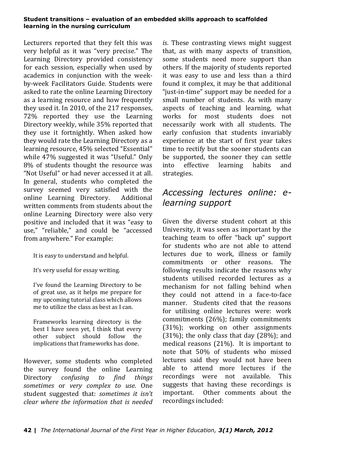Lecturers reported that they felt this was very helpful as it was "very precise." The Learning Directory provided consistency for each session, especially when used by academics in conjunction with the weekby-week Facilitators Guide. Students were asked to rate the online Learning Directory as a learning resource and how frequently they used it. In 2010, of the 217 responses, 72% reported they use the Learning Directory weekly, while 35% reported that they use it fortnightly. When asked how they would rate the Learning Directory as a learning resource, 45% selected "Essential" while 47% suggested it was "Useful." Only 8% of students thought the resource was "Not Useful" or had never accessed it at all. In general, students who completed the survey seemed very satisfied with the online Learning Directory. Additional written comments from students about the online Learning Directory were also very positive and included that it was "easy to use," "reliable," and could be "accessed from anywhere." For example:

It is easy to understand and helpful.

It's very useful for essay writing.

I've found the Learning Directory to be of great use, as it helps me prepare for my upcoming tutorial class which allows me to utilize the class as best as I can.

Frameworks learning directory is the best I have seen yet, I think that every other subject should follow the implications that frameworks has done.

However, some students who completed the survey found the online Learning Directory *confusing to find things sometimes* or *very complex to use*. One student suggested that: *sometimes it isn't clear where the information that is needed* 

*is*. These contrasting views might suggest that, as with many aspects of transition, some students need more support than others. If the majority of students reported it was easy to use and less than a third found it complex, it may be that additional "just-in-time" support may be needed for a small number of students. As with many aspects of teaching and learning, what works for most students does not necessarily work with all students. The early confusion that students invariably experience at the start of first year takes time to rectify but the sooner students can be supported, the sooner they can settle into effective learning habits and strategies.

# *Accessing lectures online: elearning support*

Given the diverse student cohort at this University, it was seen as important by the teaching team to offer "back up" support for students who are not able to attend lectures due to work, illness or family commitments or other reasons. The following results indicate the reasons why students utilised recorded lectures as a mechanism for not falling behind when they could not attend in a face-to-face manner. Students cited that the reasons for utilising online lectures were: work commitments (26%); family commitments (31%); working on other assignments  $(31\%)$ ; the only class that day  $(28\%)$ ; and medical reasons (21%). It is important to note that 50% of students who missed lectures said they would not have been able to attend more lectures if the recordings were not available. This suggests that having these recordings is important. Other comments about the recordings included: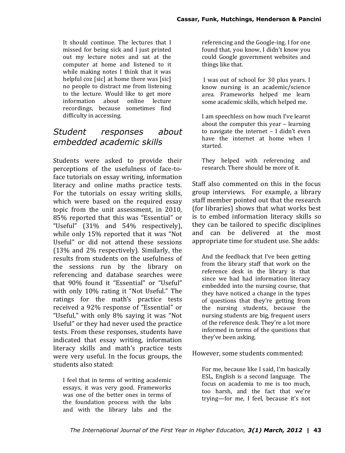It should continue. The lectures that I missed for being sick and I just printed out my lecture notes and sat at the computer at home and listened to it while making notes I think that it was helpful coz [sic] at home there was [sic] no people to distract me from listening to the lecture. Would like to get more information about online lecture recordings, because sometimes find difficulty in accessing.

## *Student responses about embedded academic skills*

Students were asked to provide their perceptions of the usefulness of face-toface tutorials on essay writing, information literacy and online maths practice tests. For the tutorials on essay writing skills, which were based on the required essay topic from the unit assessment, in 2010, 85% reported that this was "Essential" or "Useful" (31% and 54% respectively), while only 15% reported that it was "Not Useful" or did not attend these sessions (13% and 2% respectively). Similarly, the results from students on the usefulness of the sessions run by the library on referencing and database searches were that 90% found it "Essential" or "Useful" with only 10% rating it "Not Useful." The ratings for the math's practice tests received a 92% response of "Essential" or "Useful," with only 8% saying it was "Not Useful" or they had never used the practice tests. From these responses, students have indicated that essay writing, information literacy skills and math's practice tests were very useful. In the focus groups, the students also stated:

I feel that in terms of writing academic essays, it was very good. Frameworks was one of the better ones in terms of the foundation process with the labs and with the library labs and the

referencing and the Google-ing. I for one found that, you know, I didn't know you could Google government websites and things like that.

I was out of school for 30 plus years. I know nursing is an academic/science area. Frameworks helped me learn some academic skills, which helped me.

I am speechless on how much I've learnt about the computer this year – learning to navigate the internet – I didn't even have the internet at home when I started.

They helped with referencing and research. There should be more of it.

Staff also commented on this in the focus group interviews. For example, a library staff member pointed out that the research (for libraries) shows that what works best is to embed information literacy skills so they can be tailored to specific disciplines and can be delivered at the most appropriate time for student use. She adds:

And the feedback that I've been getting from the library staff that work on the reference desk in the library is that since we had had information literacy embedded into the nursing course, that they have noticed a change in the types of questions that they're getting from the nursing students, because the nursing students are big, frequent users of the reference desk. They're a lot more informed in terms of the questions that they've been asking.

## However, some students commented:

For me, because like I said, I'm basically ESL, English is a second language. The focus on academia to me is too much, too harsh, and the fact that we're trying—for me, I feel, because it's not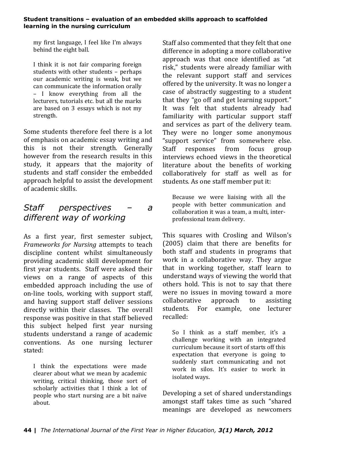my first language, I feel like I'm always behind the eight ball.

I think it is not fair comparing foreign students with other students – perhaps our academic writing is weak, but we can communicate the information orally – I know everything from all the lecturers, tutorials etc. but all the marks are based on 3 essays which is not my strength.

Some students therefore feel there is a lot of emphasis on academic essay writing and this is not their strength. Generally however from the research results in this study, it appears that the majority of students and staff consider the embedded approach helpful to assist the development of academic skills.

# *Staff perspectives – a different way of working*

As a first year, first semester subject, *Frameworks for Nursing* attempts to teach discipline content whilst simultaneously providing academic skill development for first year students. Staff were asked their views on a range of aspects of this embedded approach including the use of on-line tools, working with support staff, and having support staff deliver sessions directly within their classes. The overall response was positive in that staff believed this subject helped first year nursing students understand a range of academic conventions. As one nursing lecturer stated:

I think the expectations were made clearer about what we mean by academic writing, critical thinking, those sort of scholarly activities that I think a lot of people who start nursing are a bit naïve about.

Staff also commented that they felt that one difference in adopting a more collaborative approach was that once identified as "at risk," students were already familiar with the relevant support staff and services offered by the university. It was no longer a case of abstractly suggesting to a student that they "go off and get learning support." It was felt that students already had familiarity with particular support staff and services as part of the delivery team. They were no longer some anonymous "support service" from somewhere else. Staff responses from focus group interviews echoed views in the theoretical literature about the benefits of working collaboratively for staff as well as for students. As one staff member put it:

Because we were liaising with all the people with better communication and collaboration it was a team, a multi, interprofessional team delivery.

This squares with Crosling and Wilson's (2005) claim that there are benefits for both staff and students in programs that work in a collaborative way. They argue that in working together, staff learn to understand ways of viewing the world that others hold. This is not to say that there were no issues in moving toward a more collaborative approach to assisting students. For example, one lecturer recalled:

So I think as a staff member, it's a challenge working with an integrated curriculum because it sort of starts off this expectation that everyone is going to suddenly start communicating and not work in silos. It's easier to work in isolated ways.

Developing a set of shared understandings amongst staff takes time as such "shared meanings are developed as newcomers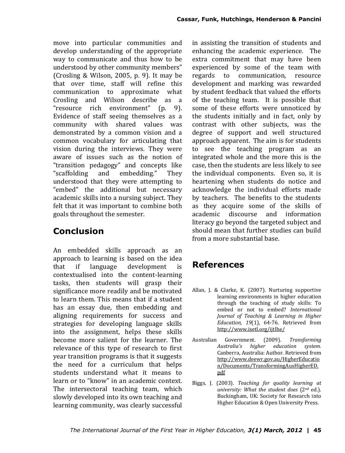move into particular communities and develop understanding of the appropriate way to communicate and thus how to be understood by other community members" (Crosling & Wilson, 2005, p. 9). It may be that over time, staff will refine this communication to approximate what Crosling and Wilson describe as a "resource rich environment" (p. 9). Evidence of staff seeing themselves as a community with shared values was demonstrated by a common vision and a common vocabulary for articulating that vision during the interviews. They were aware of issues such as the notion of "transition pedagogy" and concepts like "scaffolding and embedding." They understood that they were attempting to "embed" the additional but necessary academic skills into a nursing subject. They felt that it was important to combine both goals throughout the semester.

# **Conclusion**

An embedded skills approach as an approach to learning is based on the idea that if language development is contextualised into the content-learning tasks, then students will grasp their significance more readily and be motivated to learn them. This means that if a student has an essay due, then embedding and aligning requirements for success and strategies for developing language skills into the assignment, helps these skills become more salient for the learner. The relevance of this type of research to first year transition programs is that it suggests the need for a curriculum that helps students understand what it means to learn or to "know" in an academic context. The intersectoral teaching team, which slowly developed into its own teaching and learning community, was clearly successful

in assisting the transition of students and enhancing the academic experience. The extra commitment that may have been experienced by some of the team with regards to communication, resource development and marking was rewarded by student feedback that valued the efforts of the teaching team. It is possible that some of these efforts were unnoticed by the students initially and in fact, only by contrast with other subjects, was the degree of support and well structured approach apparent. The aim is for students to see the teaching program as an integrated whole and the more this is the case, then the students are less likely to see the individual components. Even so, it is heartening when students do notice and acknowledge the individual efforts made by teachers. The benefits to the students as they acquire some of the skills of academic discourse and information literacy go beyond the targeted subject and should mean that further studies can build from a more substantial base.

# **References**

- Allan, J. & Clarke, K. (2007). Nurturing supportive learning environments in higher education through the teaching of study skills: To embed or not to embed? *International Journal of Teaching & Learning in Higher Education, 19*(1), 64-76. Retrieved from http://www.isetl.org/ijtlhe/
- Australian Government. (2009). *Transforming Australia's higher education system.* Canberra, Australia: Author. Retrieved from http://www.deewr.gov.au/HigherEducatio n/Documents/TransformingAusHigherED. pdf
- Biggs, J. (2003). *Teaching for quality learning at university: What the student does* (2nd ed.). Buckingham, UK: Society for Research into Higher Education & Open University Press.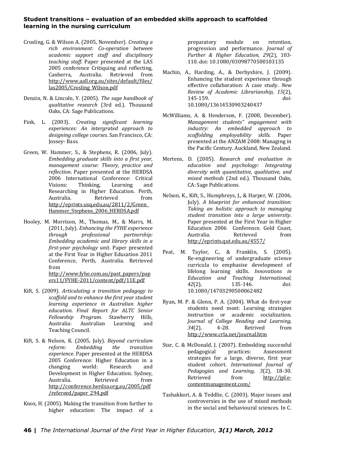- Crosling, G. & Wilson A. (2005, November). *Creating a rich environment: Co-operation between academic support staff and disciplinary teaching staff*. Paper presented at the LAS 2005 conference Critiquing and reflecting. Canberra, Australia. Retrieved from http://www.aall.org.au/sites/default/files/ las2005/Crosling\_Wilson.pdf
- Denzin, N. & Lincoln, Y. (2005). *The sage handbook of qualitative research* (3rd ed.). Thousand Oaks, CA: Sage Publications.
- Fink, L. (2003). *Creating significant learning experiences: An intergrated approach to designing college courses.* San Francisco, CA: Jossey- Bass.
- Green, W. Hammer, S., & Stephens, R. (2006, July). *Embedding graduate skills into a first year, management course: Theory, practice and reflection*. Paper presented at the HERDSA 2006 International Conference: Critical Visions: Thinking, Learning and Researching in Higher Education. Perth, Australia. Retrieved from http://eprints.usq.edu.au/2811/2/Green\_ Hammer Stephens 2006 HERDSA.pdf
- Hooley, M. Morrison, M., Thomas, M., & Marrs, M. (2011, July). *Enhancing the FYHE experience through professional partnership: Embedding academic and library skills in a first-year psychology unit*. Paper presented at the First Year in Higher Education 2011 Conference, Perth, Australia. Retrieved from http://www.fyhe.com.au/past\_papers/pap

ers11/FYHE-2011/content/pdf/11E.pdf

- Kift, S. (2009). *Articulating a transition pedagogy to scaffold and to enhance the first year student learning experience in Australian higher education. Final Report for ALTC Senior Fellowship Program.* Stawberry Hills, Australia: Australian Learning and Teaching Council.
- Kift, S. & Nelson, K. (2005, July). *Beyond curriculum reform: Embedding the transition experience*. Paper presented at the HERDSA 2005 Conference: Higher Education in a changing world: Research and Development in Higher Education. Sydney, Australia. Retrieved from http://conference.herdsa.org.au/2005/pdf /refereed/paper\_294.pdf
- Knox, H. (2005). Making the transition from further to higher education: The impact of a

preparatory module on retention, progression and performance. *Journal of Further & Higher Education, 29*(2), 103- 110. doi: 10.1080/03098770500103135

- Machin, A., Harding, A., & Derbyshire, J. (2009). Enhancing the student experience through effective collaboration: A case study. *New Review of Academic Librarianship, 15*(2), 145-159. doi: 10.1080/13614530903240437
- McWilliams, A. & Henderson, F. (2008, December). *Management students" engagement with industry: An embedded approach to scaffolding employability skills.* Paper presented at the ANZAM 2008: Managing in the Pacific Century. Auckland, New Zealand.
- Mertens, D. (2005). *Research and evaluation in education and psychology: Integrating diversity with quantitative, qualitative, and mixed methods* (2nd ed.). Thousand Oaks, CA: Sage Publications.
- Nelson, K., Kift, S., Humphreys, J., & Harper, W. (2006, July). *A blueprint for enhanced transition: Taking an holistic approach to managing student transition into a large university*. Paper presented at the First Year in Higher Education 2006 Conference. Gold Coast, Australia. Retrieved from http://eprints.qut.edu.au/4557/
- Peat, M. Taylor, C., & Franklin, S. (2005). Re‐engineering of undergraduate science curricula to emphasise development of lifelong learning skills. *Innovations in Education and Teaching International, 42*(2), 135-146. doi: 10.1080/14703290500062482
- Ryan, M. P. & Glenn, P. A. (2004). What do first-year students need most: Learning strategies instruction or academic socialization. *Journal of College Reading and Learning, 34*(2), 4-28. Retrived from http://www.crla.net/journal.htm
- Star, C. & McDonald, J. (2007). Embedding successful pedagogical practices: Assessment strategies for a large, diverse, first year student cohort. *International Journal of Pedagogies and Learning, 3*(2), 18-30. Retrieved from http://jpl.econtentmanagement.com/
- Tashakkori, A. & Teddlie, C. (2003). Major issues and controversies in the use of mixed methods in the social and behavioural sciences. In C.